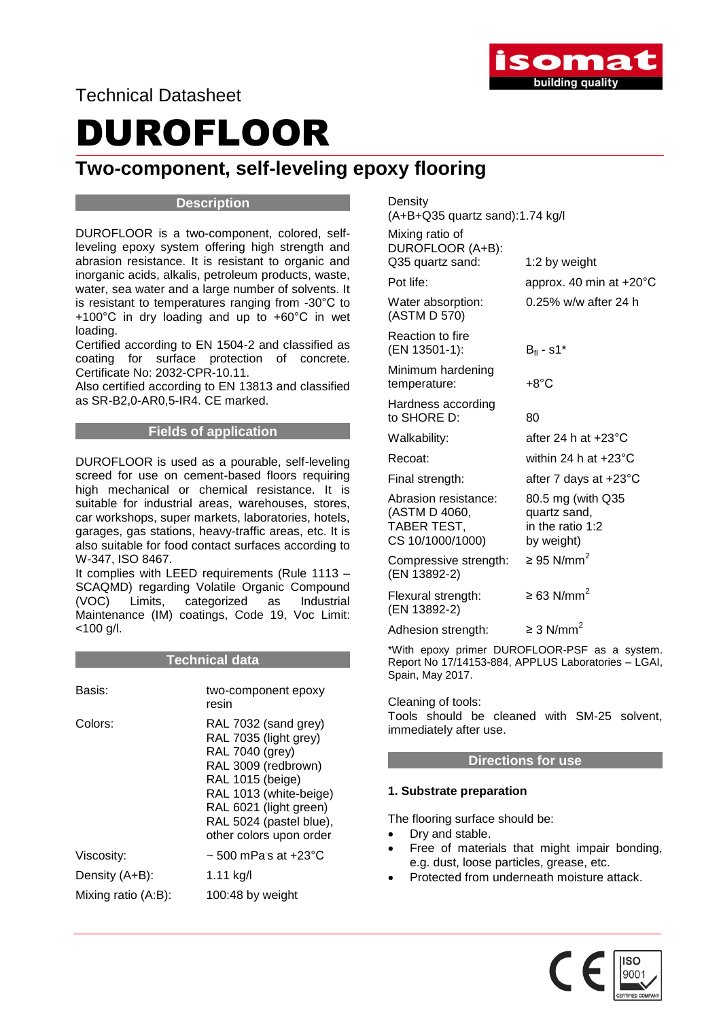

Technical Datasheet

# DUROFLOOR

# **Two-component, self-leveling epoxy flooring**

# **Description**

DUROFLOOR is a two-component, colored, selfleveling epoxy system offering high strength and abrasion resistance. It is resistant to organic and inorganic acids, alkalis, petroleum products, waste, water, sea water and a large number of solvents. It is resistant to temperatures ranging from -30°C to +100°C in dry loading and up to +60°C in wet loading.

Certified according to EN 1504-2 and classified as coating for surface protection of concrete. Certificate No: 2032-CPR-10.11.

Also certified according to EN 13813 and classified as SR-B2,0-AR0,5-IR4. CE marked.

# **Fields of application**

DUROFLOOR is used as a pourable, self-leveling screed for use on cement-based floors requiring high mechanical or chemical resistance. It is suitable for industrial areas, warehouses, stores, car workshops, super markets, laboratories, hotels, garages, gas stations, heavy-traffic areas, etc. It is also suitable for food contact surfaces according to W-347, ISO 8467.

It complies with LEED requirements (Rule 1113 – SCAQMD) regarding Volatile Organic Compound (VOC) Limits, categorized as Industrial Maintenance (IM) coatings, Code 19, Voc Limit: <100 g/l.

### **Technical data**

| Basis:              | two-component epoxy<br>resin                                                                                                                                                                                          |
|---------------------|-----------------------------------------------------------------------------------------------------------------------------------------------------------------------------------------------------------------------|
| Colors:             | RAL 7032 (sand grey)<br>RAL 7035 (light grey)<br>RAL 7040 (grey)<br>RAL 3009 (redbrown)<br>RAL 1015 (beige)<br>RAL 1013 (white-beige)<br>RAL 6021 (light green)<br>RAL 5024 (pastel blue),<br>other colors upon order |
| Viscosity:          | $\sim$ 500 mPas at +23°C                                                                                                                                                                                              |
| Density (A+B):      | 1.11 kg/l                                                                                                                                                                                                             |
| Mixing ratio (A:B): | 100:48 by weight                                                                                                                                                                                                      |

**Density** 

(A+B+Q35 quartz sand):1.74 kg/l

| Mixing ratio of<br>DUROFLOOR (A+B):<br>Q35 quartz sand:                  | 1:2 by weight                                                       |
|--------------------------------------------------------------------------|---------------------------------------------------------------------|
| Pot life:                                                                | approx. 40 min at +20°C                                             |
| Water absorption:<br>(ASTM D 570)                                        | 0.25% w/w after 24 h                                                |
| Reaction to fire<br>(EN 13501-1):                                        | $B_{\rm fl}$ - s1*                                                  |
| Minimum hardening<br>temperature:                                        | $+8^{\circ}$ C                                                      |
| Hardness according<br>to SHORE D:                                        | 80                                                                  |
| Walkability:                                                             | after 24 h at $+23^{\circ}$ C                                       |
| Recoat:                                                                  | within 24 h at $+23^{\circ}$ C                                      |
| Final strength:                                                          | after 7 days at +23°C                                               |
| Abrasion resistance:<br>(ASTM D 4060,<br>TABER TEST,<br>CS 10/1000/1000) | 80.5 mg (with Q35<br>quartz sand,<br>in the ratio 1:2<br>by weight) |
| Compressive strength:<br>(EN 13892-2)                                    | $\geq$ 95 N/mm <sup>2</sup>                                         |
| Flexural strength:<br>(EN 13892-2)                                       | $\geq$ 63 N/mm <sup>2</sup>                                         |
| Adhesion strength:                                                       | $\geq$ 3 N/mm <sup>2</sup>                                          |
|                                                                          |                                                                     |

\*With epoxy primer DUROFLOOR-PSF as a system. Report No 17/14153-884, APPLUS Laboratories – LGAI, Spain, May 2017.

Cleaning of tools: Tools should be cleaned with SM-25 solvent, immediately after use.

### **Directions for use**

### **1. Substrate preparation**

The flooring surface should be:

- Dry and stable.
- Free of materials that might impair bonding, e.g. dust, loose particles, grease, etc.
- Protected from underneath moisture attack.

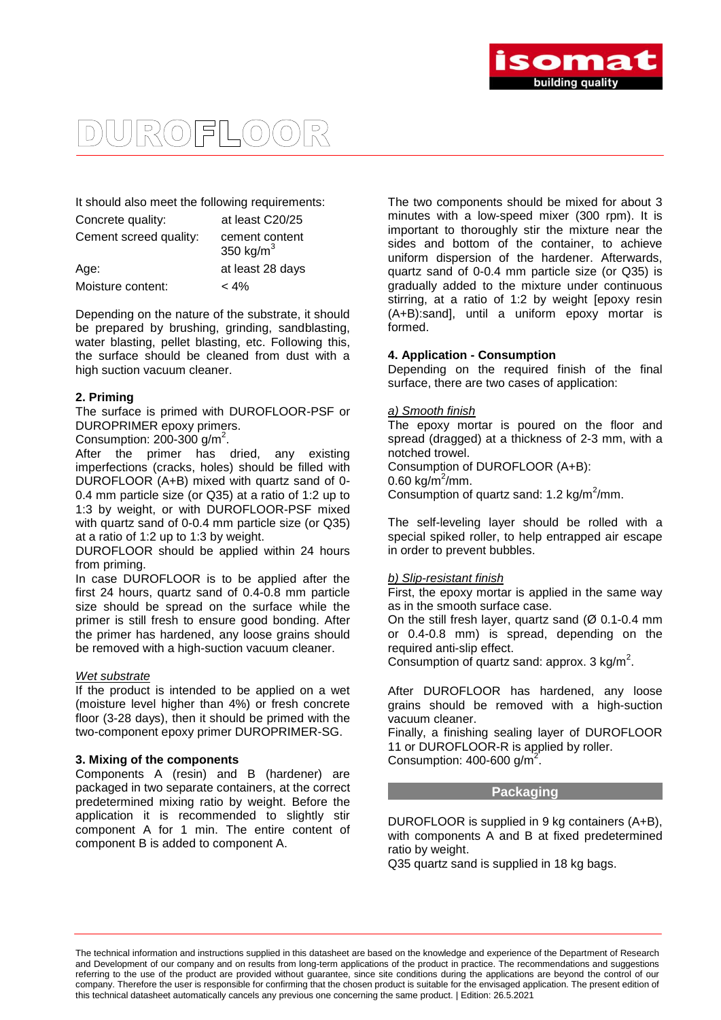

# $R(O) = L(O)$  $\bigcap$

It should also meet the following requirements:

| Concrete quality:      | at least C20/25                |
|------------------------|--------------------------------|
| Cement screed quality: | cement content<br>350 kg/ $m3$ |
| Age:                   | at least 28 days               |
| Moisture content:      | $< 4\%$                        |

Depending on the nature of the substrate, it should be prepared by brushing, grinding, sandblasting, water blasting, pellet blasting, etc. Following this, the surface should be cleaned from dust with a high suction vacuum cleaner.

#### **2. Priming**

The surface is primed with DUROFLOOR-PSF or DUROPRIMER epoxy primers.

Consumption:  $200-300$  g/m<sup>2</sup>.

After the primer has dried, any existing imperfections (cracks, holes) should be filled with DUROFLOOR (A+B) mixed with quartz sand of 0- 0.4 mm particle size (or Q35) at a ratio of 1:2 up to 1:3 by weight, or with DUROFLOOR-PSF mixed with quartz sand of 0-0.4 mm particle size (or Q35) at a ratio of 1:2 up to 1:3 by weight.

DUROFLOOR should be applied within 24 hours from priming.

In case DUROFLOOR is to be applied after the first 24 hours, quartz sand of 0.4-0.8 mm particle size should be spread on the surface while the primer is still fresh to ensure good bonding. After the primer has hardened, any loose grains should be removed with a high-suction vacuum cleaner.

#### *Wet substrate*

If the product is intended to be applied on a wet (moisture level higher than 4%) or fresh concrete floor (3-28 days), then it should be primed with the two-component epoxy primer DUROPRIMER-SG.

#### **3. Mixing of the components**

Components A (resin) and B (hardener) are packaged in two separate containers, at the correct predetermined mixing ratio by weight. Before the application it is recommended to slightly stir component A for 1 min. The entire content of component B is added to component A.

The two components should be mixed for about 3 minutes with a low-speed mixer (300 rpm). It is important to thoroughly stir the mixture near the sides and bottom of the container, to achieve uniform dispersion of the hardener. Afterwards, quartz sand of 0-0.4 mm particle size (or Q35) is gradually added to the mixture under continuous stirring, at a ratio of 1:2 by weight [epoxy resin (A+B):sand], until a uniform epoxy mortar is formed.

#### **4. Application - Consumption**

Depending on the required finish of the final surface, there are two cases of application:

#### *a) Smooth finish*

The epoxy mortar is poured on the floor and spread (dragged) at a thickness of 2-3 mm, with a notched trowel. Consumption of DUROFLOOR (A+B):

0.60 kg/m<sup>2</sup>/mm.

Consumption of quartz sand: 1.2 kg/m<sup>2</sup>/mm.

The self-leveling layer should be rolled with a special spiked roller, to help entrapped air escape in order to prevent bubbles.

#### *b) Slip-resistant finish*

First, the epoxy mortar is applied in the same way as in the smooth surface case.

On the still fresh layer, quartz sand  $(Ø 0.1-0.4$  mm or 0.4-0.8 mm) is spread, depending on the required anti-slip effect.

Consumption of quartz sand: approx.  $3 \text{ kg/m}^2$ .

After DUROFLOOR has hardened, any loose grains should be removed with a high-suction vacuum cleaner.

Finally, a finishing sealing layer of DUROFLOOR 11 or DUROFLOOR-R is applied by roller. Consumption:  $400 - 600$  g/m<sup>2</sup>.

#### **Packaging**

DUROFLOOR is supplied in 9 kg containers (A+B), with components A and B at fixed predetermined ratio by weight.

Q35 quartz sand is supplied in 18 kg bags.

The technical information and instructions supplied in this datasheet are based on the knowledge and experience of the Department of Research and Development of our company and on results from long-term applications of the product in practice. The recommendations and suggestions referring to the use of the product are provided without guarantee, since site conditions during the applications are beyond the control of our company. Therefore the user is responsible for confirming that the chosen product is suitable for the envisaged application. The present edition of this technical datasheet automatically cancels any previous one concerning the same product. | Edition: 26.5.2021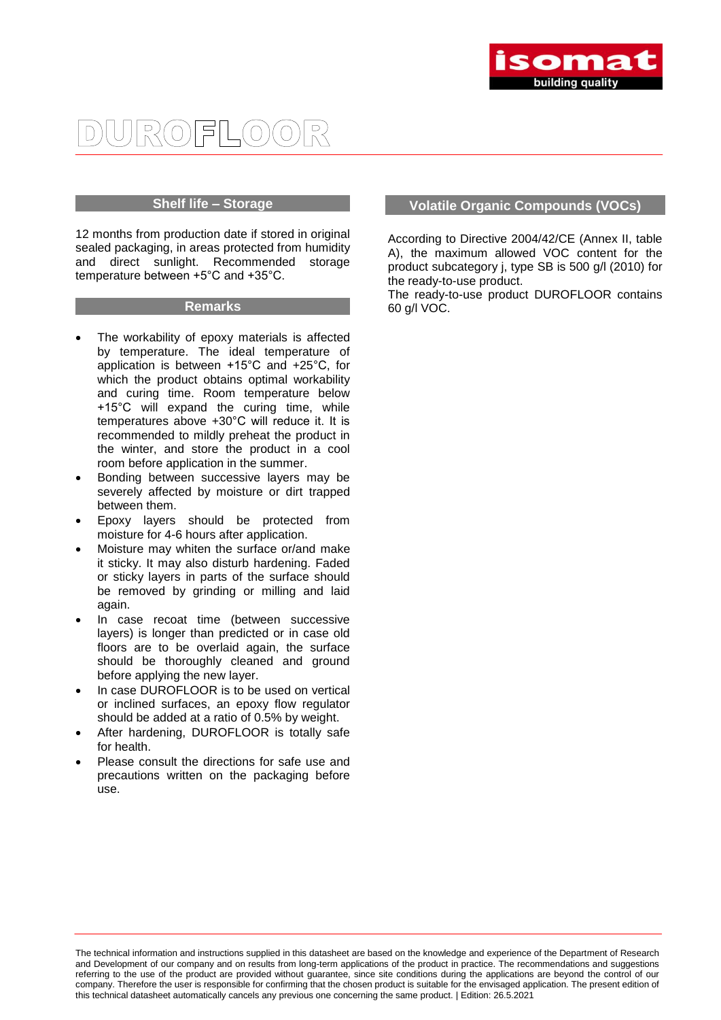

#### $R(O)$ 1511  $\int$

#### **Shelf life – Storage**

12 months from production date if stored in original sealed packaging, in areas protected from humidity and direct sunlight. Recommended storage temperature between +5°C and +35°C.

#### **Remarks**

- The workability of epoxy materials is affected by temperature. The ideal temperature of application is between +15°C and +25°C, for which the product obtains optimal workability and curing time. Room temperature below +15°C will expand the curing time, while temperatures above +30°C will reduce it. It is recommended to mildly preheat the product in the winter, and store the product in a cool room before application in the summer.
- Bonding between successive layers may be severely affected by moisture or dirt trapped between them.
- Epoxy layers should be protected from moisture for 4-6 hours after application.
- Moisture may whiten the surface or/and make it sticky. It may also disturb hardening. Faded or sticky layers in parts of the surface should be removed by grinding or milling and laid again.
- In case recoat time (between successive layers) is longer than predicted or in case old floors are to be overlaid again, the surface should be thoroughly cleaned and ground before applying the new layer.
- In case DUROFLOOR is to be used on vertical or inclined surfaces, an epoxy flow regulator should be added at a ratio of 0.5% by weight.
- After hardening, DUROFLOOR is totally safe for health.
- Please consult the directions for safe use and precautions written on the packaging before use.

# **Volatile Organic Compounds (VOCs)**

According to Directive 2004/42/CE (Annex II, table A), the maximum allowed VOC content for the product subcategory j, type SB is 500 g/l (2010) for the ready-to-use product.

The ready-to-use product DUROFLOOR contains 60 g/l VOC.

The technical information and instructions supplied in this datasheet are based on the knowledge and experience of the Department of Research and Development of our company and on results from long-term applications of the product in practice. The recommendations and suggestions referring to the use of the product are provided without guarantee, since site conditions during the applications are beyond the control of our company. Therefore the user is responsible for confirming that the chosen product is suitable for the envisaged application. The present edition of this technical datasheet automatically cancels any previous one concerning the same product. | Edition: 26.5.2021